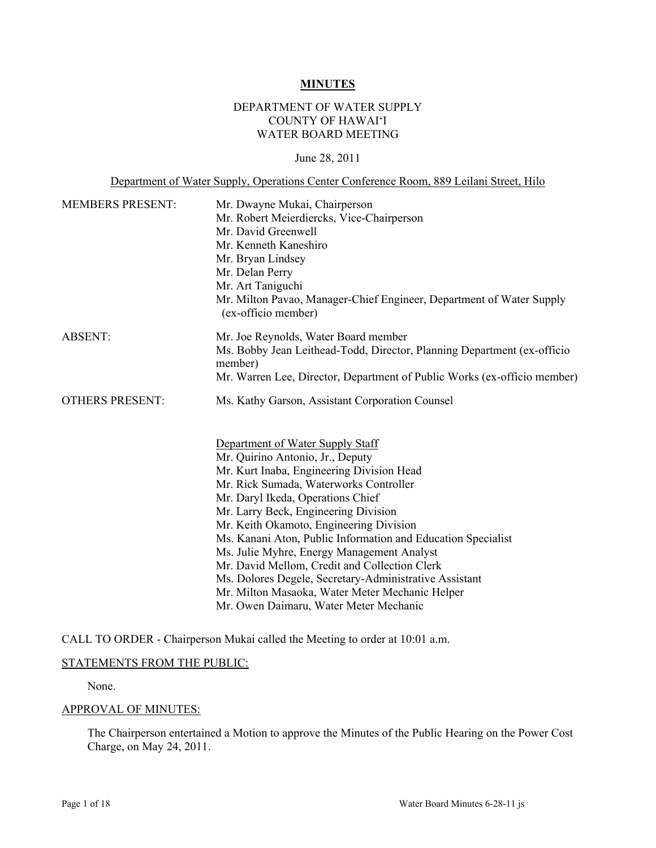#### **MINUTES**

#### DEPARTMENT OF WATER SUPPLY COUNTY OF HAWAI'I WATER BOARD MEETING

#### June 28, 2011

| Department of Water Supply, Operations Center Conference Room, 889 Leilani Street, Hilo |                                                                                                                                                                                                                                                                                                                                                                                                                                                                                                                                                                                                                                                              |
|-----------------------------------------------------------------------------------------|--------------------------------------------------------------------------------------------------------------------------------------------------------------------------------------------------------------------------------------------------------------------------------------------------------------------------------------------------------------------------------------------------------------------------------------------------------------------------------------------------------------------------------------------------------------------------------------------------------------------------------------------------------------|
| <b>MEMBERS PRESENT:</b>                                                                 | Mr. Dwayne Mukai, Chairperson<br>Mr. Robert Meierdiercks, Vice-Chairperson<br>Mr. David Greenwell<br>Mr. Kenneth Kaneshiro<br>Mr. Bryan Lindsey<br>Mr. Delan Perry<br>Mr. Art Taniguchi<br>Mr. Milton Pavao, Manager-Chief Engineer, Department of Water Supply<br>(ex-officio member)                                                                                                                                                                                                                                                                                                                                                                       |
| <b>ABSENT:</b>                                                                          | Mr. Joe Reynolds, Water Board member<br>Ms. Bobby Jean Leithead-Todd, Director, Planning Department (ex-officio<br>member)<br>Mr. Warren Lee, Director, Department of Public Works (ex-officio member)                                                                                                                                                                                                                                                                                                                                                                                                                                                       |
| <b>OTHERS PRESENT:</b>                                                                  | Ms. Kathy Garson, Assistant Corporation Counsel<br>Department of Water Supply Staff<br>Mr. Quirino Antonio, Jr., Deputy<br>Mr. Kurt Inaba, Engineering Division Head<br>Mr. Rick Sumada, Waterworks Controller<br>Mr. Daryl Ikeda, Operations Chief<br>Mr. Larry Beck, Engineering Division<br>Mr. Keith Okamoto, Engineering Division<br>Ms. Kanani Aton, Public Information and Education Specialist<br>Ms. Julie Myhre, Energy Management Analyst<br>Mr. David Mellom, Credit and Collection Clerk<br>Ms. Dolores Degele, Secretary-Administrative Assistant<br>Mr. Milton Masaoka, Water Meter Mechanic Helper<br>Mr. Owen Daimaru, Water Meter Mechanic |

CALL TO ORDER - Chairperson Mukai called the Meeting to order at 10:01 a.m.

#### STATEMENTS FROM THE PUBLIC:

None.

# APPROVAL OF MINUTES:

The Chairperson entertained a Motion to approve the Minutes of the Public Hearing on the Power Cost Charge, on May 24, 2011.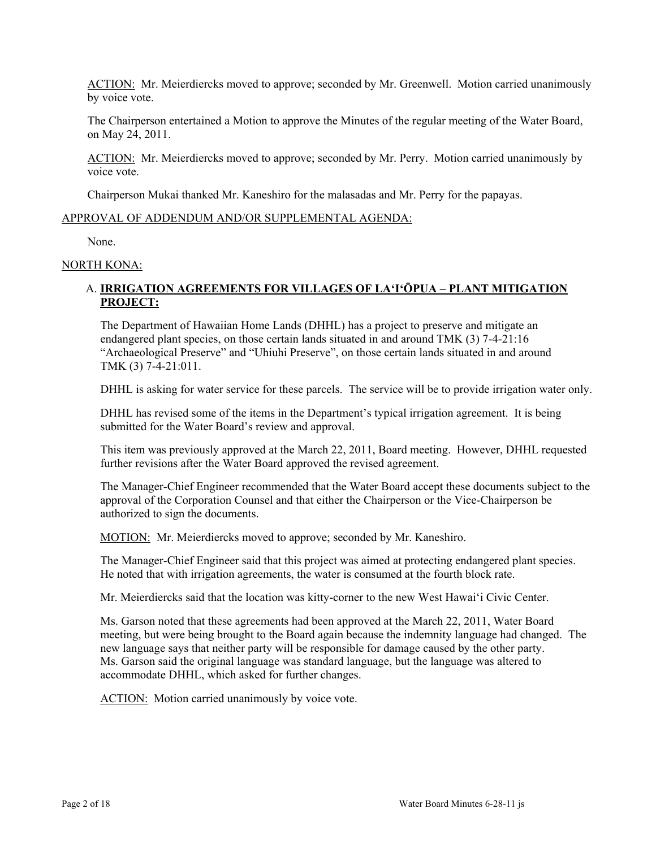ACTION: Mr. Meierdiercks moved to approve; seconded by Mr. Greenwell. Motion carried unanimously by voice vote.

The Chairperson entertained a Motion to approve the Minutes of the regular meeting of the Water Board, on May 24, 2011.

ACTION: Mr. Meierdiercks moved to approve; seconded by Mr. Perry. Motion carried unanimously by voice vote.

Chairperson Mukai thanked Mr. Kaneshiro for the malasadas and Mr. Perry for the papayas.

#### APPROVAL OF ADDENDUM AND/OR SUPPLEMENTAL AGENDA:

None.

# NORTH KONA:

## A. **IRRIGATION AGREEMENTS FOR VILLAGES OF LA'I'ŌPUA – PLANT MITIGATION PROJECT:**

The Department of Hawaiian Home Lands (DHHL) has a project to preserve and mitigate an endangered plant species, on those certain lands situated in and around TMK (3) 7-4-21:16 "Archaeological Preserve" and "Uhiuhi Preserve", on those certain lands situated in and around TMK (3) 7-4-21:011.

DHHL is asking for water service for these parcels. The service will be to provide irrigation water only.

DHHL has revised some of the items in the Department's typical irrigation agreement. It is being submitted for the Water Board's review and approval.

This item was previously approved at the March 22, 2011, Board meeting. However, DHHL requested further revisions after the Water Board approved the revised agreement.

The Manager-Chief Engineer recommended that the Water Board accept these documents subject to the approval of the Corporation Counsel and that either the Chairperson or the Vice-Chairperson be authorized to sign the documents.

MOTION: Mr. Meierdiercks moved to approve; seconded by Mr. Kaneshiro.

The Manager-Chief Engineer said that this project was aimed at protecting endangered plant species. He noted that with irrigation agreements, the water is consumed at the fourth block rate.

Mr. Meierdiercks said that the location was kitty-corner to the new West Hawai'i Civic Center.

Ms. Garson noted that these agreements had been approved at the March 22, 2011, Water Board meeting, but were being brought to the Board again because the indemnity language had changed. The new language says that neither party will be responsible for damage caused by the other party. Ms. Garson said the original language was standard language, but the language was altered to accommodate DHHL, which asked for further changes.

ACTION: Motion carried unanimously by voice vote.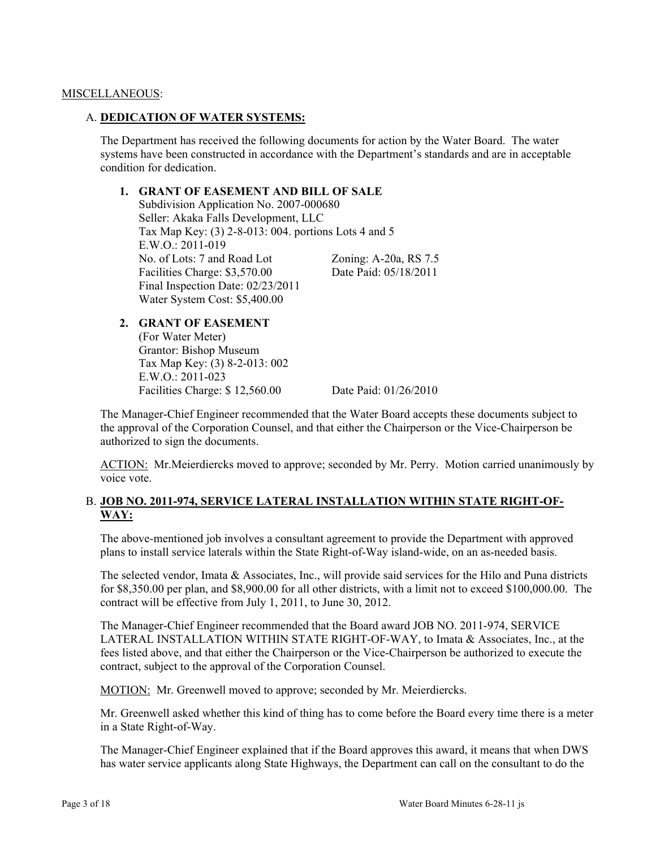#### MISCELLANEOUS:

#### A. **DEDICATION OF WATER SYSTEMS:**

The Department has received the following documents for action by the Water Board. The water systems have been constructed in accordance with the Department's standards and are in acceptable condition for dedication.

#### **1. GRANT OF EASEMENT AND BILL OF SALE**

Subdivision Application No. 2007-000680 Seller: Akaka Falls Development, LLC Tax Map Key: (3) 2-8-013: 004. portions Lots 4 and 5 E.W.O.: 2011-019 No. of Lots: 7 and Road Lot Zoning: A-20a, RS 7.5 Facilities Charge: \$3,570.00 Date Paid: 05/18/2011 Final Inspection Date: 02/23/2011 Water System Cost: \$5,400.00

## **2. GRANT OF EASEMENT**

(For Water Meter) Grantor: Bishop Museum Tax Map Key: (3) 8-2-013: 002 E.W.O.: 2011-023 Facilities Charge: \$ 12,560.00 Date Paid: 01/26/2010

The Manager-Chief Engineer recommended that the Water Board accepts these documents subject to the approval of the Corporation Counsel, and that either the Chairperson or the Vice-Chairperson be authorized to sign the documents.

ACTION: Mr.Meierdiercks moved to approve; seconded by Mr. Perry. Motion carried unanimously by voice vote.

## B. **JOB NO. 2011-974, SERVICE LATERAL INSTALLATION WITHIN STATE RIGHT-OF-WAY:**

The above-mentioned job involves a consultant agreement to provide the Department with approved plans to install service laterals within the State Right-of-Way island-wide, on an as-needed basis.

The selected vendor, Imata & Associates, Inc., will provide said services for the Hilo and Puna districts for \$8,350.00 per plan, and \$8,900.00 for all other districts, with a limit not to exceed \$100,000.00. The contract will be effective from July 1, 2011, to June 30, 2012.

The Manager-Chief Engineer recommended that the Board award JOB NO. 2011-974, SERVICE LATERAL INSTALLATION WITHIN STATE RIGHT-OF-WAY, to Imata & Associates, Inc., at the fees listed above, and that either the Chairperson or the Vice-Chairperson be authorized to execute the contract, subject to the approval of the Corporation Counsel.

MOTION: Mr. Greenwell moved to approve; seconded by Mr. Meierdiercks.

Mr. Greenwell asked whether this kind of thing has to come before the Board every time there is a meter in a State Right-of-Way.

The Manager-Chief Engineer explained that if the Board approves this award, it means that when DWS has water service applicants along State Highways, the Department can call on the consultant to do the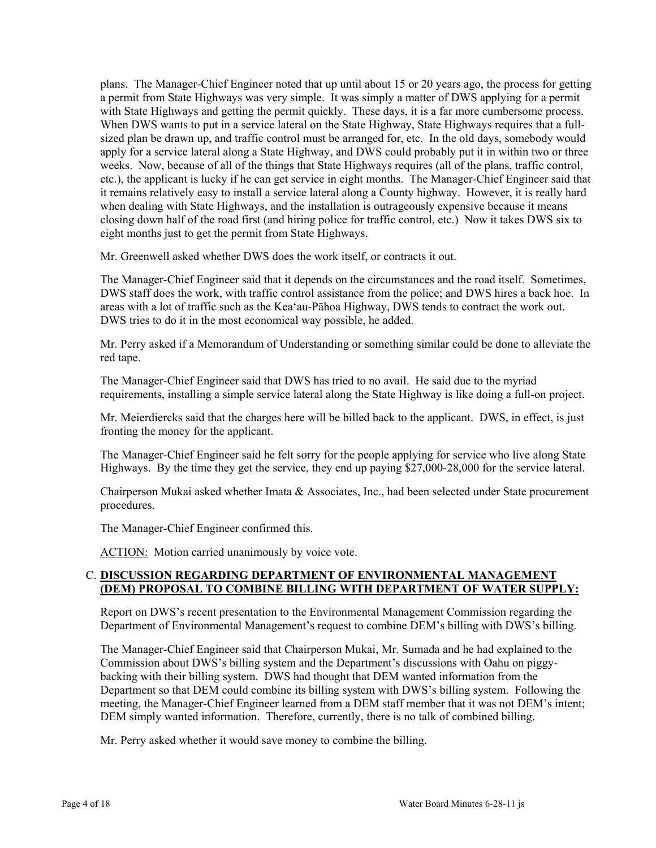plans. The Manager-Chief Engineer noted that up until about 15 or 20 years ago, the process for getting a permit from State Highways was very simple. It was simply a matter of DWS applying for a permit with State Highways and getting the permit quickly. These days, it is a far more cumbersome process. When DWS wants to put in a service lateral on the State Highway, State Highways requires that a fullsized plan be drawn up, and traffic control must be arranged for, etc. In the old days, somebody would apply for a service lateral along a State Highway, and DWS could probably put it in within two or three weeks. Now, because of all of the things that State Highways requires (all of the plans, traffic control, etc.), the applicant is lucky if he can get service in eight months. The Manager-Chief Engineer said that it remains relatively easy to install a service lateral along a County highway. However, it is really hard when dealing with State Highways, and the installation is outrageously expensive because it means closing down half of the road first (and hiring police for traffic control, etc.) Now it takes DWS six to eight months just to get the permit from State Highways.

Mr. Greenwell asked whether DWS does the work itself, or contracts it out.

The Manager-Chief Engineer said that it depends on the circumstances and the road itself. Sometimes, DWS staff does the work, with traffic control assistance from the police; and DWS hires a back hoe. In areas with a lot of traffic such as the Kea'au-Pāhoa Highway, DWS tends to contract the work out. DWS tries to do it in the most economical way possible, he added.

Mr. Perry asked if a Memorandum of Understanding or something similar could be done to alleviate the red tape.

The Manager-Chief Engineer said that DWS has tried to no avail. He said due to the myriad requirements, installing a simple service lateral along the State Highway is like doing a full-on project.

Mr. Meierdiercks said that the charges here will be billed back to the applicant. DWS, in effect, is just fronting the money for the applicant.

The Manager-Chief Engineer said he felt sorry for the people applying for service who live along State Highways. By the time they get the service, they end up paying \$27,000-28,000 for the service lateral.

Chairperson Mukai asked whether Imata & Associates, Inc., had been selected under State procurement procedures.

The Manager-Chief Engineer confirmed this.

ACTION: Motion carried unanimously by voice vote.

## C. **DISCUSSION REGARDING DEPARTMENT OF ENVIRONMENTAL MANAGEMENT (DEM) PROPOSAL TO COMBINE BILLING WITH DEPARTMENT OF WATER SUPPLY:**

Report on DWS's recent presentation to the Environmental Management Commission regarding the Department of Environmental Management's request to combine DEM's billing with DWS's billing.

The Manager-Chief Engineer said that Chairperson Mukai, Mr. Sumada and he had explained to the Commission about DWS's billing system and the Department's discussions with Oahu on piggybacking with their billing system. DWS had thought that DEM wanted information from the Department so that DEM could combine its billing system with DWS's billing system. Following the meeting, the Manager-Chief Engineer learned from a DEM staff member that it was not DEM's intent; DEM simply wanted information. Therefore, currently, there is no talk of combined billing.

Mr. Perry asked whether it would save money to combine the billing.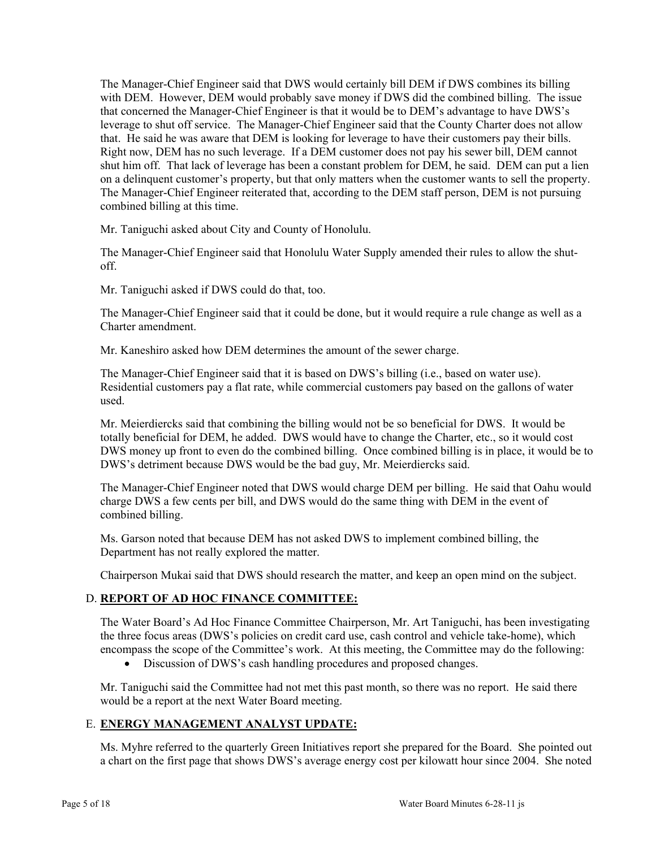The Manager-Chief Engineer said that DWS would certainly bill DEM if DWS combines its billing with DEM. However, DEM would probably save money if DWS did the combined billing. The issue that concerned the Manager-Chief Engineer is that it would be to DEM's advantage to have DWS's leverage to shut off service. The Manager-Chief Engineer said that the County Charter does not allow that. He said he was aware that DEM is looking for leverage to have their customers pay their bills. Right now, DEM has no such leverage. If a DEM customer does not pay his sewer bill, DEM cannot shut him off. That lack of leverage has been a constant problem for DEM, he said. DEM can put a lien on a delinquent customer's property, but that only matters when the customer wants to sell the property. The Manager-Chief Engineer reiterated that, according to the DEM staff person, DEM is not pursuing combined billing at this time.

Mr. Taniguchi asked about City and County of Honolulu.

The Manager-Chief Engineer said that Honolulu Water Supply amended their rules to allow the shutoff.

Mr. Taniguchi asked if DWS could do that, too.

The Manager-Chief Engineer said that it could be done, but it would require a rule change as well as a Charter amendment.

Mr. Kaneshiro asked how DEM determines the amount of the sewer charge.

The Manager-Chief Engineer said that it is based on DWS's billing (i.e., based on water use). Residential customers pay a flat rate, while commercial customers pay based on the gallons of water used.

Mr. Meierdiercks said that combining the billing would not be so beneficial for DWS. It would be totally beneficial for DEM, he added. DWS would have to change the Charter, etc., so it would cost DWS money up front to even do the combined billing. Once combined billing is in place, it would be to DWS's detriment because DWS would be the bad guy, Mr. Meierdiercks said.

The Manager-Chief Engineer noted that DWS would charge DEM per billing. He said that Oahu would charge DWS a few cents per bill, and DWS would do the same thing with DEM in the event of combined billing.

Ms. Garson noted that because DEM has not asked DWS to implement combined billing, the Department has not really explored the matter.

Chairperson Mukai said that DWS should research the matter, and keep an open mind on the subject.

## D. **REPORT OF AD HOC FINANCE COMMITTEE:**

The Water Board's Ad Hoc Finance Committee Chairperson, Mr. Art Taniguchi, has been investigating the three focus areas (DWS's policies on credit card use, cash control and vehicle take-home), which encompass the scope of the Committee's work. At this meeting, the Committee may do the following:

Discussion of DWS's cash handling procedures and proposed changes.

Mr. Taniguchi said the Committee had not met this past month, so there was no report. He said there would be a report at the next Water Board meeting.

## E. **ENERGY MANAGEMENT ANALYST UPDATE:**

Ms. Myhre referred to the quarterly Green Initiatives report she prepared for the Board. She pointed out a chart on the first page that shows DWS's average energy cost per kilowatt hour since 2004. She noted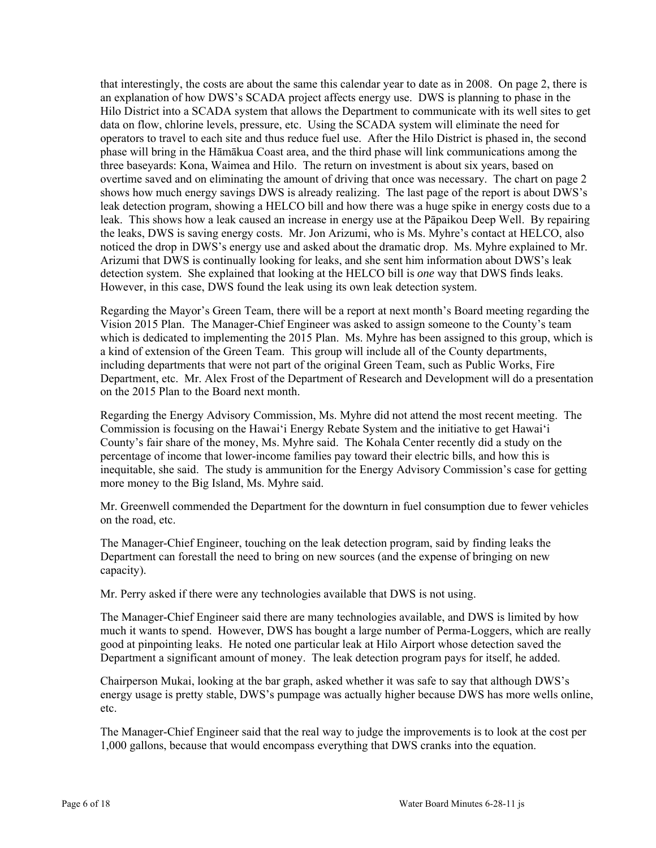that interestingly, the costs are about the same this calendar year to date as in 2008. On page 2, there is an explanation of how DWS's SCADA project affects energy use. DWS is planning to phase in the Hilo District into a SCADA system that allows the Department to communicate with its well sites to get data on flow, chlorine levels, pressure, etc. Using the SCADA system will eliminate the need for operators to travel to each site and thus reduce fuel use. After the Hilo District is phased in, the second phase will bring in the Hāmākua Coast area, and the third phase will link communications among the three baseyards: Kona, Waimea and Hilo. The return on investment is about six years, based on overtime saved and on eliminating the amount of driving that once was necessary. The chart on page 2 shows how much energy savings DWS is already realizing. The last page of the report is about DWS's leak detection program, showing a HELCO bill and how there was a huge spike in energy costs due to a leak. This shows how a leak caused an increase in energy use at the Pāpaikou Deep Well. By repairing the leaks, DWS is saving energy costs. Mr. Jon Arizumi, who is Ms. Myhre's contact at HELCO, also noticed the drop in DWS's energy use and asked about the dramatic drop. Ms. Myhre explained to Mr. Arizumi that DWS is continually looking for leaks, and she sent him information about DWS's leak detection system. She explained that looking at the HELCO bill is *one* way that DWS finds leaks. However, in this case, DWS found the leak using its own leak detection system.

Regarding the Mayor's Green Team, there will be a report at next month's Board meeting regarding the Vision 2015 Plan. The Manager-Chief Engineer was asked to assign someone to the County's team which is dedicated to implementing the 2015 Plan. Ms. Myhre has been assigned to this group, which is a kind of extension of the Green Team. This group will include all of the County departments, including departments that were not part of the original Green Team, such as Public Works, Fire Department, etc. Mr. Alex Frost of the Department of Research and Development will do a presentation on the 2015 Plan to the Board next month.

Regarding the Energy Advisory Commission, Ms. Myhre did not attend the most recent meeting. The Commission is focusing on the Hawai'i Energy Rebate System and the initiative to get Hawai'i County's fair share of the money, Ms. Myhre said. The Kohala Center recently did a study on the percentage of income that lower-income families pay toward their electric bills, and how this is inequitable, she said. The study is ammunition for the Energy Advisory Commission's case for getting more money to the Big Island, Ms. Myhre said.

Mr. Greenwell commended the Department for the downturn in fuel consumption due to fewer vehicles on the road, etc.

The Manager-Chief Engineer, touching on the leak detection program, said by finding leaks the Department can forestall the need to bring on new sources (and the expense of bringing on new capacity).

Mr. Perry asked if there were any technologies available that DWS is not using.

The Manager-Chief Engineer said there are many technologies available, and DWS is limited by how much it wants to spend. However, DWS has bought a large number of Perma-Loggers, which are really good at pinpointing leaks. He noted one particular leak at Hilo Airport whose detection saved the Department a significant amount of money. The leak detection program pays for itself, he added.

Chairperson Mukai, looking at the bar graph, asked whether it was safe to say that although DWS's energy usage is pretty stable, DWS's pumpage was actually higher because DWS has more wells online, etc.

The Manager-Chief Engineer said that the real way to judge the improvements is to look at the cost per 1,000 gallons, because that would encompass everything that DWS cranks into the equation.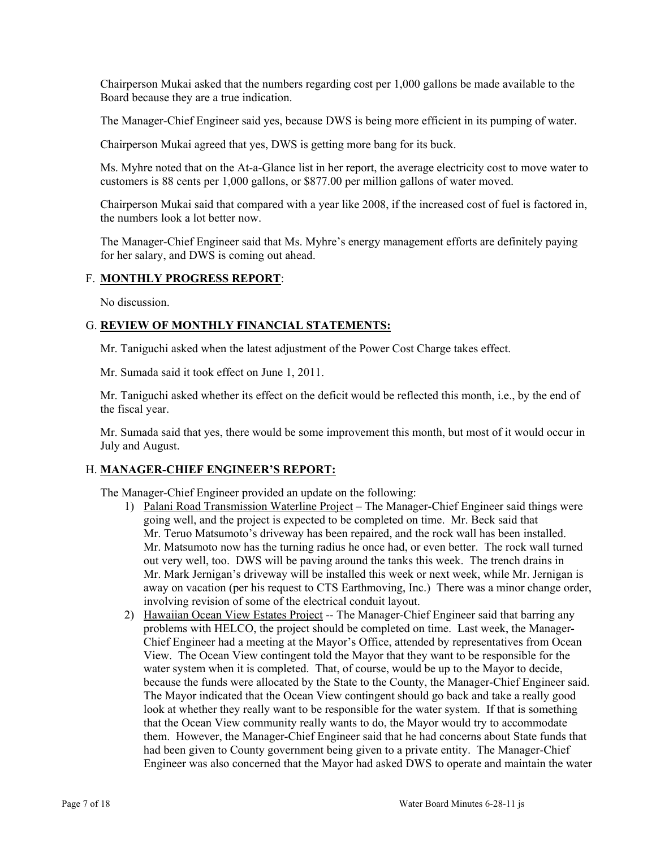Chairperson Mukai asked that the numbers regarding cost per 1,000 gallons be made available to the Board because they are a true indication.

The Manager-Chief Engineer said yes, because DWS is being more efficient in its pumping of water.

Chairperson Mukai agreed that yes, DWS is getting more bang for its buck.

Ms. Myhre noted that on the At-a-Glance list in her report, the average electricity cost to move water to customers is 88 cents per 1,000 gallons, or \$877.00 per million gallons of water moved.

Chairperson Mukai said that compared with a year like 2008, if the increased cost of fuel is factored in, the numbers look a lot better now.

The Manager-Chief Engineer said that Ms. Myhre's energy management efforts are definitely paying for her salary, and DWS is coming out ahead.

## F. **MONTHLY PROGRESS REPORT**:

No discussion.

## G. **REVIEW OF MONTHLY FINANCIAL STATEMENTS:**

Mr. Taniguchi asked when the latest adjustment of the Power Cost Charge takes effect.

Mr. Sumada said it took effect on June 1, 2011.

Mr. Taniguchi asked whether its effect on the deficit would be reflected this month, i.e., by the end of the fiscal year.

Mr. Sumada said that yes, there would be some improvement this month, but most of it would occur in July and August.

## H. **MANAGER-CHIEF ENGINEER'S REPORT:**

The Manager-Chief Engineer provided an update on the following:

- 1) Palani Road Transmission Waterline Project The Manager-Chief Engineer said things were going well, and the project is expected to be completed on time. Mr. Beck said that Mr. Teruo Matsumoto's driveway has been repaired, and the rock wall has been installed. Mr. Matsumoto now has the turning radius he once had, or even better. The rock wall turned out very well, too. DWS will be paving around the tanks this week. The trench drains in Mr. Mark Jernigan's driveway will be installed this week or next week, while Mr. Jernigan is away on vacation (per his request to CTS Earthmoving, Inc.) There was a minor change order, involving revision of some of the electrical conduit layout.
- 2) Hawaiian Ocean View Estates Project -- The Manager-Chief Engineer said that barring any problems with HELCO, the project should be completed on time. Last week, the Manager-Chief Engineer had a meeting at the Mayor's Office, attended by representatives from Ocean View. The Ocean View contingent told the Mayor that they want to be responsible for the water system when it is completed. That, of course, would be up to the Mayor to decide, because the funds were allocated by the State to the County, the Manager-Chief Engineer said. The Mayor indicated that the Ocean View contingent should go back and take a really good look at whether they really want to be responsible for the water system. If that is something that the Ocean View community really wants to do, the Mayor would try to accommodate them. However, the Manager-Chief Engineer said that he had concerns about State funds that had been given to County government being given to a private entity. The Manager-Chief Engineer was also concerned that the Mayor had asked DWS to operate and maintain the water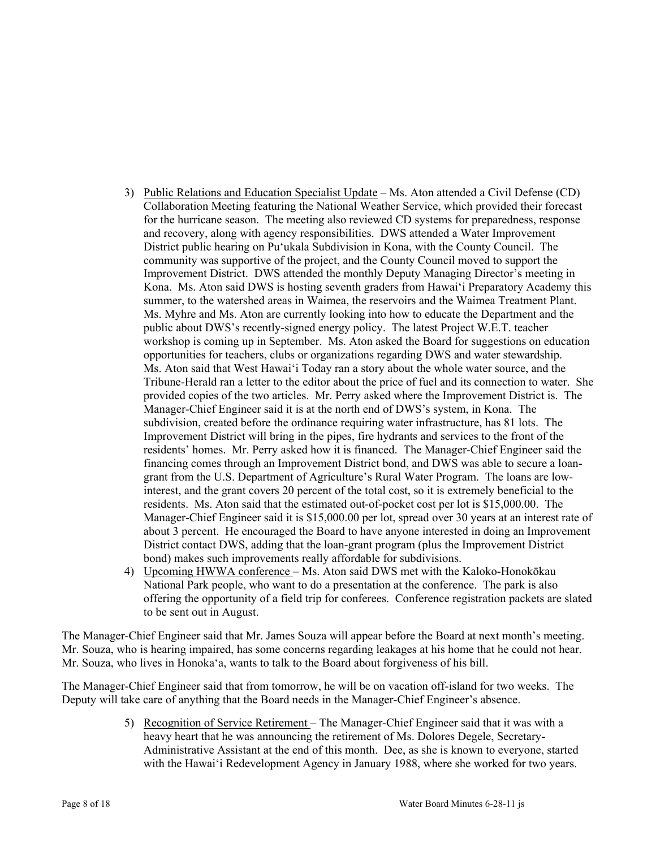- 3) Public Relations and Education Specialist Update Ms. Aton attended a Civil Defense (CD) Collaboration Meeting featuring the National Weather Service, which provided their forecast for the hurricane season. The meeting also reviewed CD systems for preparedness, response and recovery, along with agency responsibilities. DWS attended a Water Improvement District public hearing on Pu'ukala Subdivision in Kona, with the County Council. The community was supportive of the project, and the County Council moved to support the Improvement District. DWS attended the monthly Deputy Managing Director's meeting in Kona. Ms. Aton said DWS is hosting seventh graders from Hawai'i Preparatory Academy this summer, to the watershed areas in Waimea, the reservoirs and the Waimea Treatment Plant. Ms. Myhre and Ms. Aton are currently looking into how to educate the Department and the public about DWS's recently-signed energy policy. The latest Project W.E.T. teacher workshop is coming up in September. Ms. Aton asked the Board for suggestions on education opportunities for teachers, clubs or organizations regarding DWS and water stewardship. Ms. Aton said that West Hawai'i Today ran a story about the whole water source, and the Tribune-Herald ran a letter to the editor about the price of fuel and its connection to water. She provided copies of the two articles. Mr. Perry asked where the Improvement District is. The Manager-Chief Engineer said it is at the north end of DWS's system, in Kona. The subdivision, created before the ordinance requiring water infrastructure, has 81 lots. The Improvement District will bring in the pipes, fire hydrants and services to the front of the residents' homes. Mr. Perry asked how it is financed. The Manager-Chief Engineer said the financing comes through an Improvement District bond, and DWS was able to secure a loangrant from the U.S. Department of Agriculture's Rural Water Program. The loans are lowinterest, and the grant covers 20 percent of the total cost, so it is extremely beneficial to the residents. Ms. Aton said that the estimated out-of-pocket cost per lot is \$15,000.00. The Manager-Chief Engineer said it is \$15,000.00 per lot, spread over 30 years at an interest rate of about 3 percent. He encouraged the Board to have anyone interested in doing an Improvement District contact DWS, adding that the loan-grant program (plus the Improvement District bond) makes such improvements really affordable for subdivisions.
- 4) Upcoming HWWA conference Ms. Aton said DWS met with the Kaloko-Honokōkau National Park people, who want to do a presentation at the conference. The park is also offering the opportunity of a field trip for conferees. Conference registration packets are slated to be sent out in August.

The Manager-Chief Engineer said that Mr. James Souza will appear before the Board at next month's meeting. Mr. Souza, who is hearing impaired, has some concerns regarding leakages at his home that he could not hear. Mr. Souza, who lives in Honoka'a, wants to talk to the Board about forgiveness of his bill.

The Manager-Chief Engineer said that from tomorrow, he will be on vacation off-island for two weeks. The Deputy will take care of anything that the Board needs in the Manager-Chief Engineer's absence.

> 5) Recognition of Service Retirement – The Manager-Chief Engineer said that it was with a heavy heart that he was announcing the retirement of Ms. Dolores Degele, Secretary-Administrative Assistant at the end of this month. Dee, as she is known to everyone, started with the Hawai'i Redevelopment Agency in January 1988, where she worked for two years.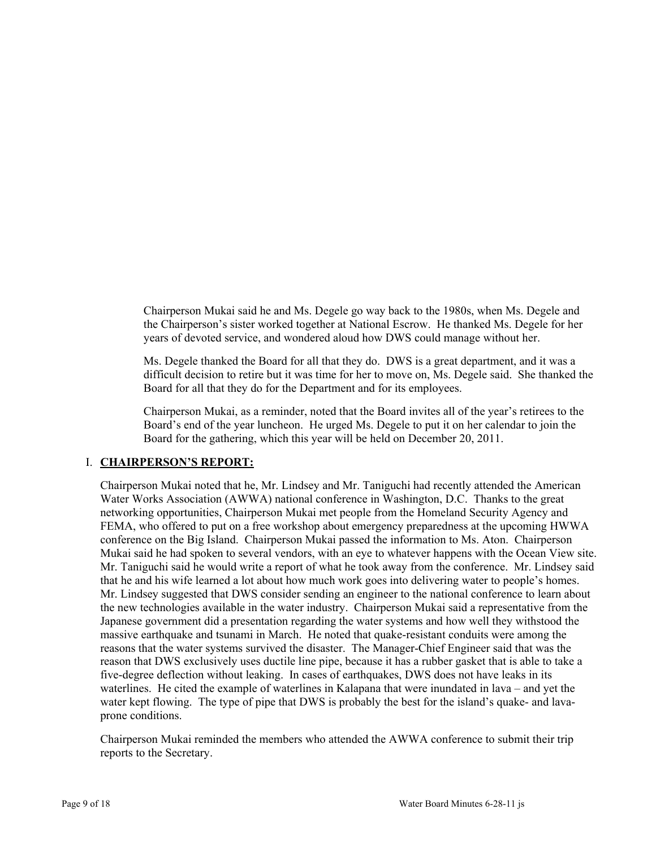Chairperson Mukai said he and Ms. Degele go way back to the 1980s, when Ms. Degele and the Chairperson's sister worked together at National Escrow. He thanked Ms. Degele for her years of devoted service, and wondered aloud how DWS could manage without her.

Ms. Degele thanked the Board for all that they do. DWS is a great department, and it was a difficult decision to retire but it was time for her to move on, Ms. Degele said. She thanked the Board for all that they do for the Department and for its employees.

Chairperson Mukai, as a reminder, noted that the Board invites all of the year's retirees to the Board's end of the year luncheon. He urged Ms. Degele to put it on her calendar to join the Board for the gathering, which this year will be held on December 20, 2011.

## I. **CHAIRPERSON'S REPORT:**

Chairperson Mukai noted that he, Mr. Lindsey and Mr. Taniguchi had recently attended the American Water Works Association (AWWA) national conference in Washington, D.C. Thanks to the great networking opportunities, Chairperson Mukai met people from the Homeland Security Agency and FEMA, who offered to put on a free workshop about emergency preparedness at the upcoming HWWA conference on the Big Island. Chairperson Mukai passed the information to Ms. Aton. Chairperson Mukai said he had spoken to several vendors, with an eye to whatever happens with the Ocean View site. Mr. Taniguchi said he would write a report of what he took away from the conference. Mr. Lindsey said that he and his wife learned a lot about how much work goes into delivering water to people's homes. Mr. Lindsey suggested that DWS consider sending an engineer to the national conference to learn about the new technologies available in the water industry. Chairperson Mukai said a representative from the Japanese government did a presentation regarding the water systems and how well they withstood the massive earthquake and tsunami in March. He noted that quake-resistant conduits were among the reasons that the water systems survived the disaster. The Manager-Chief Engineer said that was the reason that DWS exclusively uses ductile line pipe, because it has a rubber gasket that is able to take a five-degree deflection without leaking. In cases of earthquakes, DWS does not have leaks in its waterlines. He cited the example of waterlines in Kalapana that were inundated in lava – and yet the water kept flowing. The type of pipe that DWS is probably the best for the island's quake- and lavaprone conditions.

Chairperson Mukai reminded the members who attended the AWWA conference to submit their trip reports to the Secretary.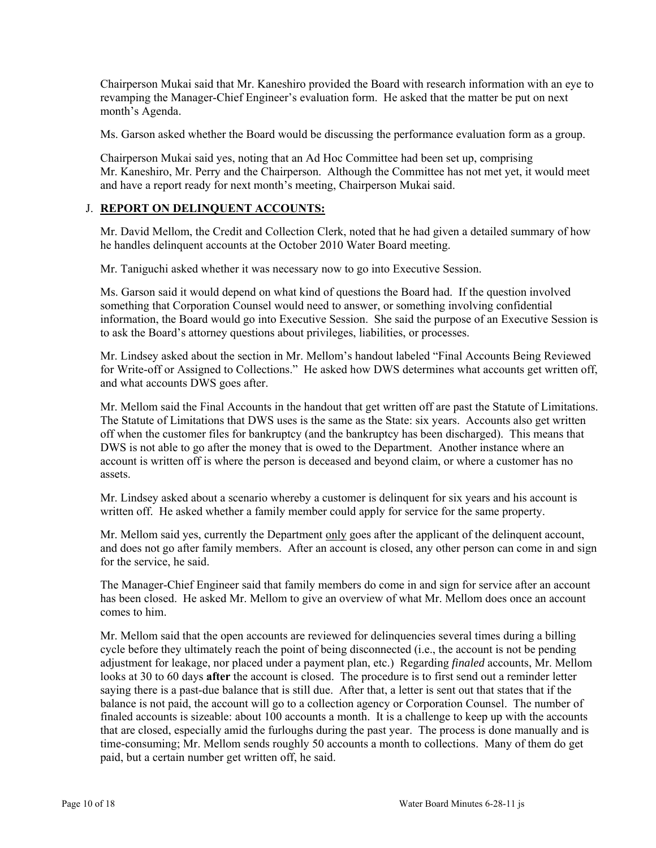Chairperson Mukai said that Mr. Kaneshiro provided the Board with research information with an eye to revamping the Manager-Chief Engineer's evaluation form. He asked that the matter be put on next month's Agenda.

Ms. Garson asked whether the Board would be discussing the performance evaluation form as a group.

Chairperson Mukai said yes, noting that an Ad Hoc Committee had been set up, comprising Mr. Kaneshiro, Mr. Perry and the Chairperson. Although the Committee has not met yet, it would meet and have a report ready for next month's meeting, Chairperson Mukai said.

#### J. **REPORT ON DELINQUENT ACCOUNTS:**

Mr. David Mellom, the Credit and Collection Clerk, noted that he had given a detailed summary of how he handles delinquent accounts at the October 2010 Water Board meeting.

Mr. Taniguchi asked whether it was necessary now to go into Executive Session.

Ms. Garson said it would depend on what kind of questions the Board had. If the question involved something that Corporation Counsel would need to answer, or something involving confidential information, the Board would go into Executive Session. She said the purpose of an Executive Session is to ask the Board's attorney questions about privileges, liabilities, or processes.

Mr. Lindsey asked about the section in Mr. Mellom's handout labeled "Final Accounts Being Reviewed for Write-off or Assigned to Collections." He asked how DWS determines what accounts get written off, and what accounts DWS goes after.

Mr. Mellom said the Final Accounts in the handout that get written off are past the Statute of Limitations. The Statute of Limitations that DWS uses is the same as the State: six years. Accounts also get written off when the customer files for bankruptcy (and the bankruptcy has been discharged). This means that DWS is not able to go after the money that is owed to the Department. Another instance where an account is written off is where the person is deceased and beyond claim, or where a customer has no assets.

Mr. Lindsey asked about a scenario whereby a customer is delinquent for six years and his account is written off. He asked whether a family member could apply for service for the same property.

Mr. Mellom said yes, currently the Department only goes after the applicant of the delinquent account, and does not go after family members. After an account is closed, any other person can come in and sign for the service, he said.

The Manager-Chief Engineer said that family members do come in and sign for service after an account has been closed. He asked Mr. Mellom to give an overview of what Mr. Mellom does once an account comes to him.

Mr. Mellom said that the open accounts are reviewed for delinquencies several times during a billing cycle before they ultimately reach the point of being disconnected (i.e., the account is not be pending adjustment for leakage, nor placed under a payment plan, etc.) Regarding *finaled* accounts, Mr. Mellom looks at 30 to 60 days **after** the account is closed. The procedure is to first send out a reminder letter saying there is a past-due balance that is still due. After that, a letter is sent out that states that if the balance is not paid, the account will go to a collection agency or Corporation Counsel. The number of finaled accounts is sizeable: about 100 accounts a month. It is a challenge to keep up with the accounts that are closed, especially amid the furloughs during the past year. The process is done manually and is time-consuming; Mr. Mellom sends roughly 50 accounts a month to collections. Many of them do get paid, but a certain number get written off, he said.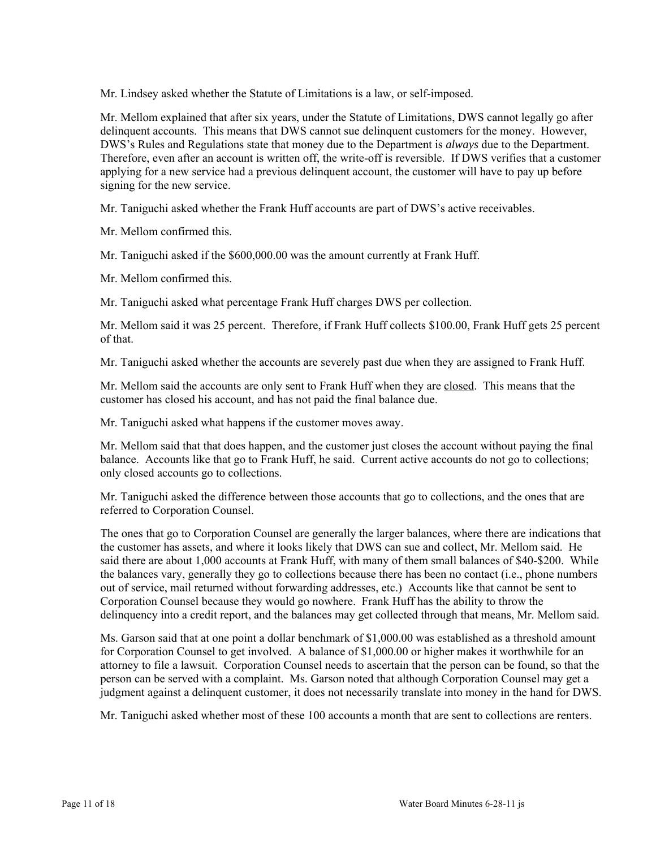Mr. Lindsey asked whether the Statute of Limitations is a law, or self-imposed.

Mr. Mellom explained that after six years, under the Statute of Limitations, DWS cannot legally go after delinquent accounts. This means that DWS cannot sue delinquent customers for the money. However, DWS's Rules and Regulations state that money due to the Department is *always* due to the Department. Therefore, even after an account is written off, the write-off is reversible. If DWS verifies that a customer applying for a new service had a previous delinquent account, the customer will have to pay up before signing for the new service.

Mr. Taniguchi asked whether the Frank Huff accounts are part of DWS's active receivables.

Mr. Mellom confirmed this.

Mr. Taniguchi asked if the \$600,000.00 was the amount currently at Frank Huff.

Mr. Mellom confirmed this.

Mr. Taniguchi asked what percentage Frank Huff charges DWS per collection.

Mr. Mellom said it was 25 percent. Therefore, if Frank Huff collects \$100.00, Frank Huff gets 25 percent of that.

Mr. Taniguchi asked whether the accounts are severely past due when they are assigned to Frank Huff.

Mr. Mellom said the accounts are only sent to Frank Huff when they are closed. This means that the customer has closed his account, and has not paid the final balance due.

Mr. Taniguchi asked what happens if the customer moves away.

Mr. Mellom said that that does happen, and the customer just closes the account without paying the final balance. Accounts like that go to Frank Huff, he said. Current active accounts do not go to collections; only closed accounts go to collections.

Mr. Taniguchi asked the difference between those accounts that go to collections, and the ones that are referred to Corporation Counsel.

The ones that go to Corporation Counsel are generally the larger balances, where there are indications that the customer has assets, and where it looks likely that DWS can sue and collect, Mr. Mellom said. He said there are about 1,000 accounts at Frank Huff, with many of them small balances of \$40-\$200. While the balances vary, generally they go to collections because there has been no contact (i.e., phone numbers out of service, mail returned without forwarding addresses, etc.) Accounts like that cannot be sent to Corporation Counsel because they would go nowhere. Frank Huff has the ability to throw the delinquency into a credit report, and the balances may get collected through that means, Mr. Mellom said.

Ms. Garson said that at one point a dollar benchmark of \$1,000.00 was established as a threshold amount for Corporation Counsel to get involved. A balance of \$1,000.00 or higher makes it worthwhile for an attorney to file a lawsuit. Corporation Counsel needs to ascertain that the person can be found, so that the person can be served with a complaint. Ms. Garson noted that although Corporation Counsel may get a judgment against a delinquent customer, it does not necessarily translate into money in the hand for DWS.

Mr. Taniguchi asked whether most of these 100 accounts a month that are sent to collections are renters.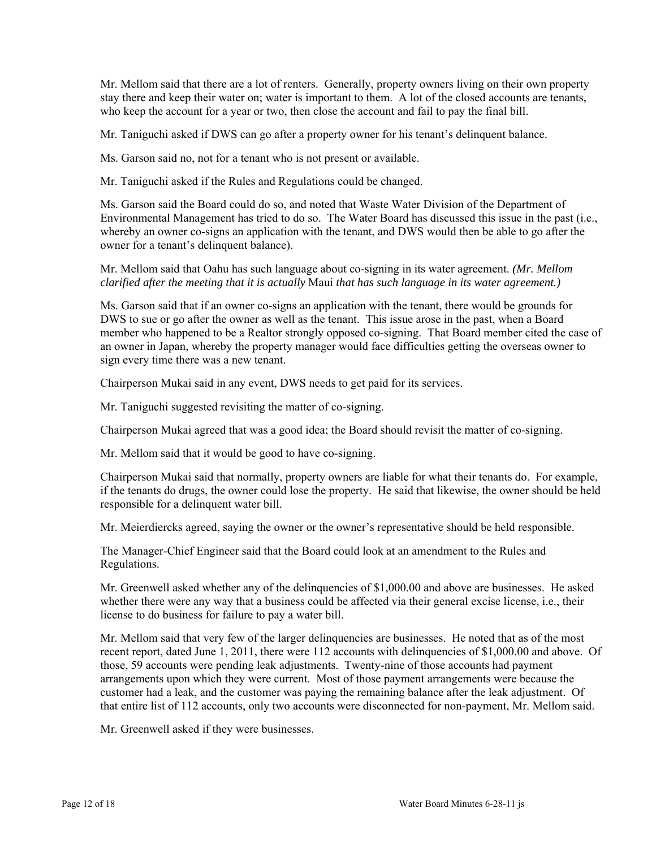Mr. Mellom said that there are a lot of renters. Generally, property owners living on their own property stay there and keep their water on; water is important to them. A lot of the closed accounts are tenants, who keep the account for a year or two, then close the account and fail to pay the final bill.

Mr. Taniguchi asked if DWS can go after a property owner for his tenant's delinquent balance.

Ms. Garson said no, not for a tenant who is not present or available.

Mr. Taniguchi asked if the Rules and Regulations could be changed.

Ms. Garson said the Board could do so, and noted that Waste Water Division of the Department of Environmental Management has tried to do so. The Water Board has discussed this issue in the past (i.e., whereby an owner co-signs an application with the tenant, and DWS would then be able to go after the owner for a tenant's delinquent balance).

Mr. Mellom said that Oahu has such language about co-signing in its water agreement. *(Mr. Mellom clarified after the meeting that it is actually* Maui *that has such language in its water agreement.)* 

Ms. Garson said that if an owner co-signs an application with the tenant, there would be grounds for DWS to sue or go after the owner as well as the tenant. This issue arose in the past, when a Board member who happened to be a Realtor strongly opposed co-signing. That Board member cited the case of an owner in Japan, whereby the property manager would face difficulties getting the overseas owner to sign every time there was a new tenant.

Chairperson Mukai said in any event, DWS needs to get paid for its services.

Mr. Taniguchi suggested revisiting the matter of co-signing.

Chairperson Mukai agreed that was a good idea; the Board should revisit the matter of co-signing.

Mr. Mellom said that it would be good to have co-signing.

Chairperson Mukai said that normally, property owners are liable for what their tenants do. For example, if the tenants do drugs, the owner could lose the property. He said that likewise, the owner should be held responsible for a delinquent water bill.

Mr. Meierdiercks agreed, saying the owner or the owner's representative should be held responsible.

The Manager-Chief Engineer said that the Board could look at an amendment to the Rules and Regulations.

Mr. Greenwell asked whether any of the delinquencies of \$1,000.00 and above are businesses. He asked whether there were any way that a business could be affected via their general excise license, i.e., their license to do business for failure to pay a water bill.

Mr. Mellom said that very few of the larger delinquencies are businesses. He noted that as of the most recent report, dated June 1, 2011, there were 112 accounts with delinquencies of \$1,000.00 and above. Of those, 59 accounts were pending leak adjustments. Twenty-nine of those accounts had payment arrangements upon which they were current. Most of those payment arrangements were because the customer had a leak, and the customer was paying the remaining balance after the leak adjustment. Of that entire list of 112 accounts, only two accounts were disconnected for non-payment, Mr. Mellom said.

Mr. Greenwell asked if they were businesses.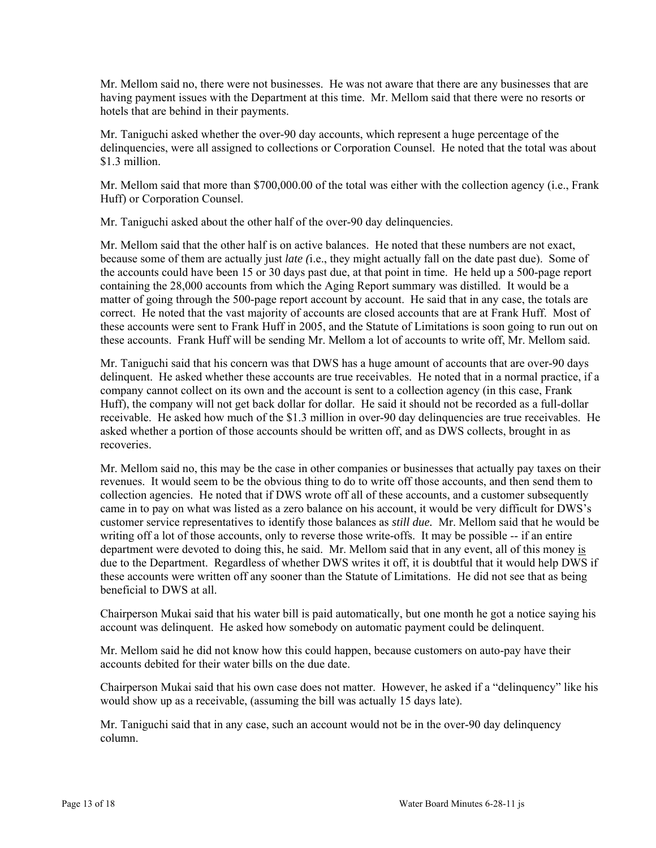Mr. Mellom said no, there were not businesses. He was not aware that there are any businesses that are having payment issues with the Department at this time. Mr. Mellom said that there were no resorts or hotels that are behind in their payments.

Mr. Taniguchi asked whether the over-90 day accounts, which represent a huge percentage of the delinquencies, were all assigned to collections or Corporation Counsel. He noted that the total was about \$1.3 million.

Mr. Mellom said that more than \$700,000.00 of the total was either with the collection agency (i.e., Frank Huff) or Corporation Counsel.

Mr. Taniguchi asked about the other half of the over-90 day delinquencies.

Mr. Mellom said that the other half is on active balances. He noted that these numbers are not exact, because some of them are actually just *late (*i.e., they might actually fall on the date past due). Some of the accounts could have been 15 or 30 days past due, at that point in time. He held up a 500-page report containing the 28,000 accounts from which the Aging Report summary was distilled. It would be a matter of going through the 500-page report account by account. He said that in any case, the totals are correct. He noted that the vast majority of accounts are closed accounts that are at Frank Huff. Most of these accounts were sent to Frank Huff in 2005, and the Statute of Limitations is soon going to run out on these accounts. Frank Huff will be sending Mr. Mellom a lot of accounts to write off, Mr. Mellom said.

Mr. Taniguchi said that his concern was that DWS has a huge amount of accounts that are over-90 days delinquent. He asked whether these accounts are true receivables. He noted that in a normal practice, if a company cannot collect on its own and the account is sent to a collection agency (in this case, Frank Huff), the company will not get back dollar for dollar. He said it should not be recorded as a full-dollar receivable. He asked how much of the \$1.3 million in over-90 day delinquencies are true receivables. He asked whether a portion of those accounts should be written off, and as DWS collects, brought in as recoveries.

Mr. Mellom said no, this may be the case in other companies or businesses that actually pay taxes on their revenues. It would seem to be the obvious thing to do to write off those accounts, and then send them to collection agencies. He noted that if DWS wrote off all of these accounts, and a customer subsequently came in to pay on what was listed as a zero balance on his account, it would be very difficult for DWS's customer service representatives to identify those balances as *still due.* Mr. Mellom said that he would be writing off a lot of those accounts, only to reverse those write-offs. It may be possible -- if an entire department were devoted to doing this, he said. Mr. Mellom said that in any event, all of this money is due to the Department. Regardless of whether DWS writes it off, it is doubtful that it would help DWS if these accounts were written off any sooner than the Statute of Limitations. He did not see that as being beneficial to DWS at all.

Chairperson Mukai said that his water bill is paid automatically, but one month he got a notice saying his account was delinquent. He asked how somebody on automatic payment could be delinquent.

Mr. Mellom said he did not know how this could happen, because customers on auto-pay have their accounts debited for their water bills on the due date.

Chairperson Mukai said that his own case does not matter. However, he asked if a "delinquency" like his would show up as a receivable, (assuming the bill was actually 15 days late).

Mr. Taniguchi said that in any case, such an account would not be in the over-90 day delinquency column.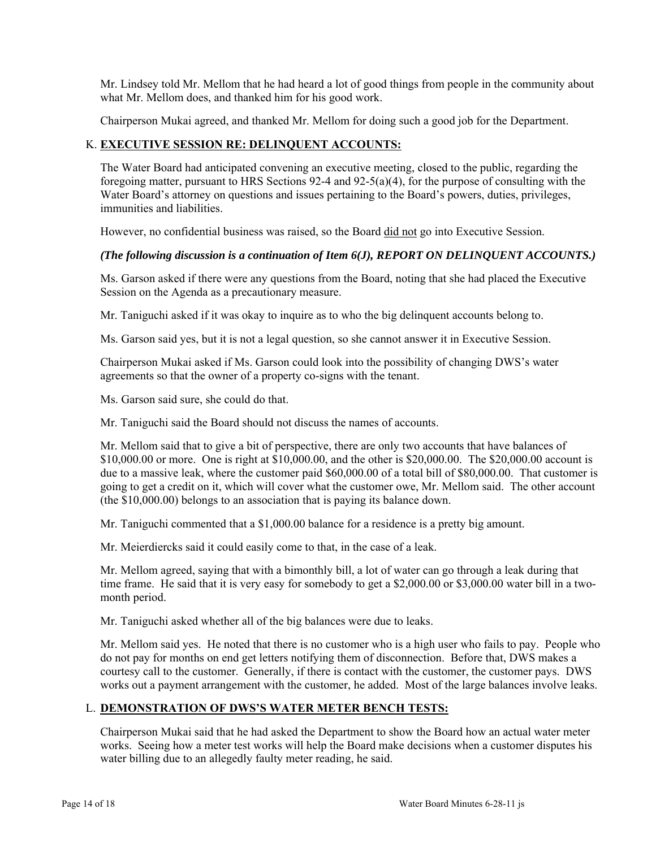Mr. Lindsey told Mr. Mellom that he had heard a lot of good things from people in the community about what Mr. Mellom does, and thanked him for his good work.

Chairperson Mukai agreed, and thanked Mr. Mellom for doing such a good job for the Department.

## K. **EXECUTIVE SESSION RE: DELINQUENT ACCOUNTS:**

The Water Board had anticipated convening an executive meeting, closed to the public, regarding the foregoing matter, pursuant to HRS Sections 92-4 and 92-5(a)(4), for the purpose of consulting with the Water Board's attorney on questions and issues pertaining to the Board's powers, duties, privileges, immunities and liabilities.

However, no confidential business was raised, so the Board did not go into Executive Session.

## *(The following discussion is a continuation of Item 6(J), REPORT ON DELINQUENT ACCOUNTS.)*

Ms. Garson asked if there were any questions from the Board, noting that she had placed the Executive Session on the Agenda as a precautionary measure.

Mr. Taniguchi asked if it was okay to inquire as to who the big delinquent accounts belong to.

Ms. Garson said yes, but it is not a legal question, so she cannot answer it in Executive Session.

Chairperson Mukai asked if Ms. Garson could look into the possibility of changing DWS's water agreements so that the owner of a property co-signs with the tenant.

Ms. Garson said sure, she could do that.

Mr. Taniguchi said the Board should not discuss the names of accounts.

Mr. Mellom said that to give a bit of perspective, there are only two accounts that have balances of \$10,000.00 or more. One is right at \$10,000.00, and the other is \$20,000.00. The \$20,000.00 account is due to a massive leak, where the customer paid \$60,000.00 of a total bill of \$80,000.00. That customer is going to get a credit on it, which will cover what the customer owe, Mr. Mellom said. The other account (the \$10,000.00) belongs to an association that is paying its balance down.

Mr. Taniguchi commented that a \$1,000.00 balance for a residence is a pretty big amount.

Mr. Meierdiercks said it could easily come to that, in the case of a leak.

Mr. Mellom agreed, saying that with a bimonthly bill, a lot of water can go through a leak during that time frame. He said that it is very easy for somebody to get a \$2,000.00 or \$3,000.00 water bill in a twomonth period.

Mr. Taniguchi asked whether all of the big balances were due to leaks.

Mr. Mellom said yes. He noted that there is no customer who is a high user who fails to pay. People who do not pay for months on end get letters notifying them of disconnection. Before that, DWS makes a courtesy call to the customer. Generally, if there is contact with the customer, the customer pays. DWS works out a payment arrangement with the customer, he added. Most of the large balances involve leaks.

## L. **DEMONSTRATION OF DWS'S WATER METER BENCH TESTS:**

Chairperson Mukai said that he had asked the Department to show the Board how an actual water meter works. Seeing how a meter test works will help the Board make decisions when a customer disputes his water billing due to an allegedly faulty meter reading, he said.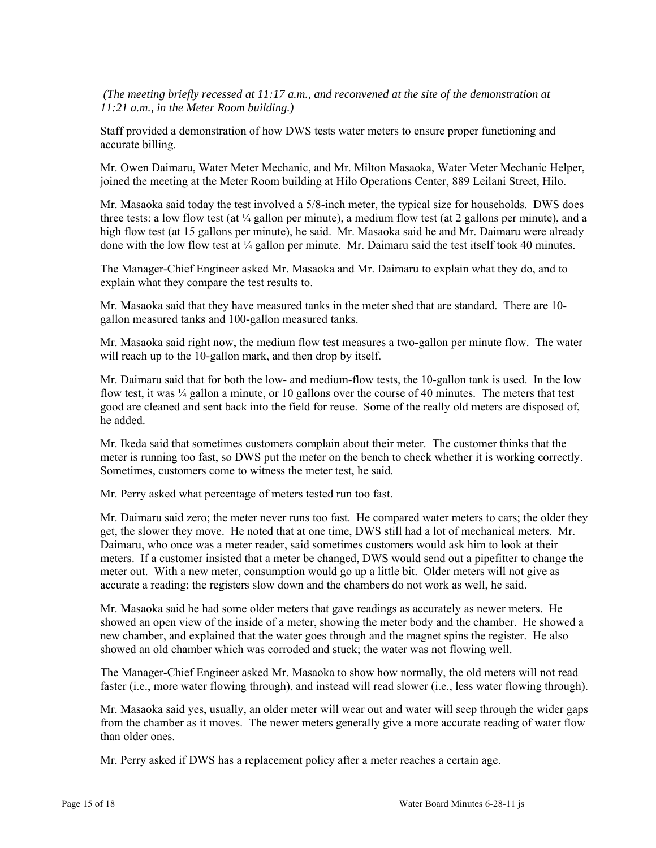*(The meeting briefly recessed at 11:17 a.m., and reconvened at the site of the demonstration at 11:21 a.m., in the Meter Room building.)* 

Staff provided a demonstration of how DWS tests water meters to ensure proper functioning and accurate billing.

Mr. Owen Daimaru, Water Meter Mechanic, and Mr. Milton Masaoka, Water Meter Mechanic Helper, joined the meeting at the Meter Room building at Hilo Operations Center, 889 Leilani Street, Hilo.

Mr. Masaoka said today the test involved a 5/8-inch meter, the typical size for households. DWS does three tests: a low flow test (at  $\frac{1}{4}$  gallon per minute), a medium flow test (at 2 gallons per minute), and a high flow test (at 15 gallons per minute), he said. Mr. Masaoka said he and Mr. Daimaru were already done with the low flow test at ¼ gallon per minute. Mr. Daimaru said the test itself took 40 minutes.

The Manager-Chief Engineer asked Mr. Masaoka and Mr. Daimaru to explain what they do, and to explain what they compare the test results to.

Mr. Masaoka said that they have measured tanks in the meter shed that are standard. There are 10gallon measured tanks and 100-gallon measured tanks.

Mr. Masaoka said right now, the medium flow test measures a two-gallon per minute flow. The water will reach up to the 10-gallon mark, and then drop by itself.

Mr. Daimaru said that for both the low- and medium-flow tests, the 10-gallon tank is used. In the low flow test, it was  $\frac{1}{4}$  gallon a minute, or 10 gallons over the course of 40 minutes. The meters that test good are cleaned and sent back into the field for reuse. Some of the really old meters are disposed of, he added.

Mr. Ikeda said that sometimes customers complain about their meter. The customer thinks that the meter is running too fast, so DWS put the meter on the bench to check whether it is working correctly. Sometimes, customers come to witness the meter test, he said.

Mr. Perry asked what percentage of meters tested run too fast.

Mr. Daimaru said zero; the meter never runs too fast. He compared water meters to cars; the older they get, the slower they move. He noted that at one time, DWS still had a lot of mechanical meters. Mr. Daimaru, who once was a meter reader, said sometimes customers would ask him to look at their meters. If a customer insisted that a meter be changed, DWS would send out a pipefitter to change the meter out. With a new meter, consumption would go up a little bit. Older meters will not give as accurate a reading; the registers slow down and the chambers do not work as well, he said.

Mr. Masaoka said he had some older meters that gave readings as accurately as newer meters. He showed an open view of the inside of a meter, showing the meter body and the chamber. He showed a new chamber, and explained that the water goes through and the magnet spins the register. He also showed an old chamber which was corroded and stuck; the water was not flowing well.

The Manager-Chief Engineer asked Mr. Masaoka to show how normally, the old meters will not read faster (i.e., more water flowing through), and instead will read slower (i.e., less water flowing through).

Mr. Masaoka said yes, usually, an older meter will wear out and water will seep through the wider gaps from the chamber as it moves. The newer meters generally give a more accurate reading of water flow than older ones.

Mr. Perry asked if DWS has a replacement policy after a meter reaches a certain age.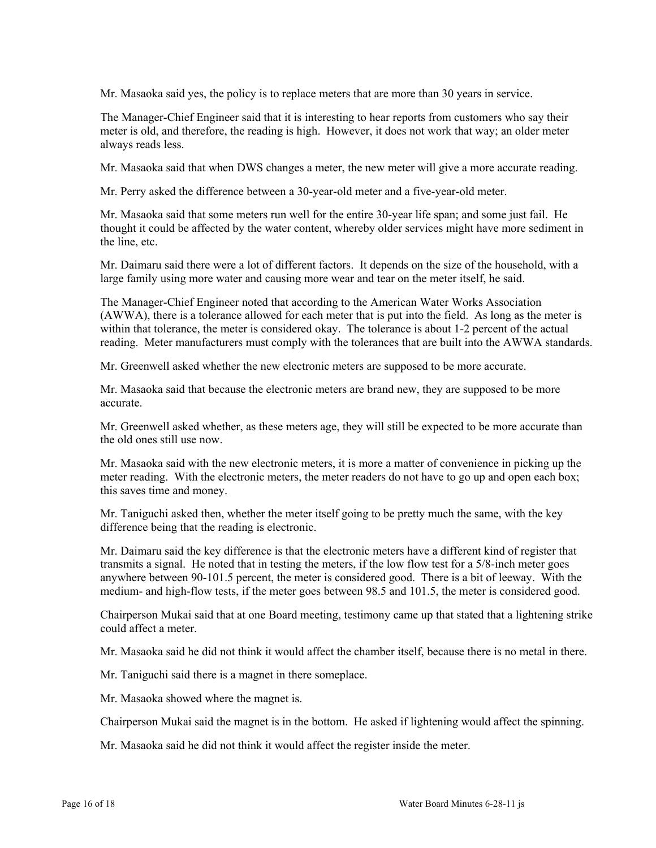Mr. Masaoka said yes, the policy is to replace meters that are more than 30 years in service.

The Manager-Chief Engineer said that it is interesting to hear reports from customers who say their meter is old, and therefore, the reading is high. However, it does not work that way; an older meter always reads less.

Mr. Masaoka said that when DWS changes a meter, the new meter will give a more accurate reading.

Mr. Perry asked the difference between a 30-year-old meter and a five-year-old meter.

Mr. Masaoka said that some meters run well for the entire 30-year life span; and some just fail. He thought it could be affected by the water content, whereby older services might have more sediment in the line, etc.

Mr. Daimaru said there were a lot of different factors. It depends on the size of the household, with a large family using more water and causing more wear and tear on the meter itself, he said.

The Manager-Chief Engineer noted that according to the American Water Works Association (AWWA), there is a tolerance allowed for each meter that is put into the field. As long as the meter is within that tolerance, the meter is considered okay. The tolerance is about 1-2 percent of the actual reading. Meter manufacturers must comply with the tolerances that are built into the AWWA standards.

Mr. Greenwell asked whether the new electronic meters are supposed to be more accurate.

Mr. Masaoka said that because the electronic meters are brand new, they are supposed to be more accurate.

Mr. Greenwell asked whether, as these meters age, they will still be expected to be more accurate than the old ones still use now.

Mr. Masaoka said with the new electronic meters, it is more a matter of convenience in picking up the meter reading. With the electronic meters, the meter readers do not have to go up and open each box; this saves time and money.

Mr. Taniguchi asked then, whether the meter itself going to be pretty much the same, with the key difference being that the reading is electronic.

Mr. Daimaru said the key difference is that the electronic meters have a different kind of register that transmits a signal. He noted that in testing the meters, if the low flow test for a 5/8-inch meter goes anywhere between 90-101.5 percent, the meter is considered good. There is a bit of leeway. With the medium- and high-flow tests, if the meter goes between 98.5 and 101.5, the meter is considered good.

Chairperson Mukai said that at one Board meeting, testimony came up that stated that a lightening strike could affect a meter.

Mr. Masaoka said he did not think it would affect the chamber itself, because there is no metal in there.

Mr. Taniguchi said there is a magnet in there someplace.

Mr. Masaoka showed where the magnet is.

Chairperson Mukai said the magnet is in the bottom. He asked if lightening would affect the spinning.

Mr. Masaoka said he did not think it would affect the register inside the meter.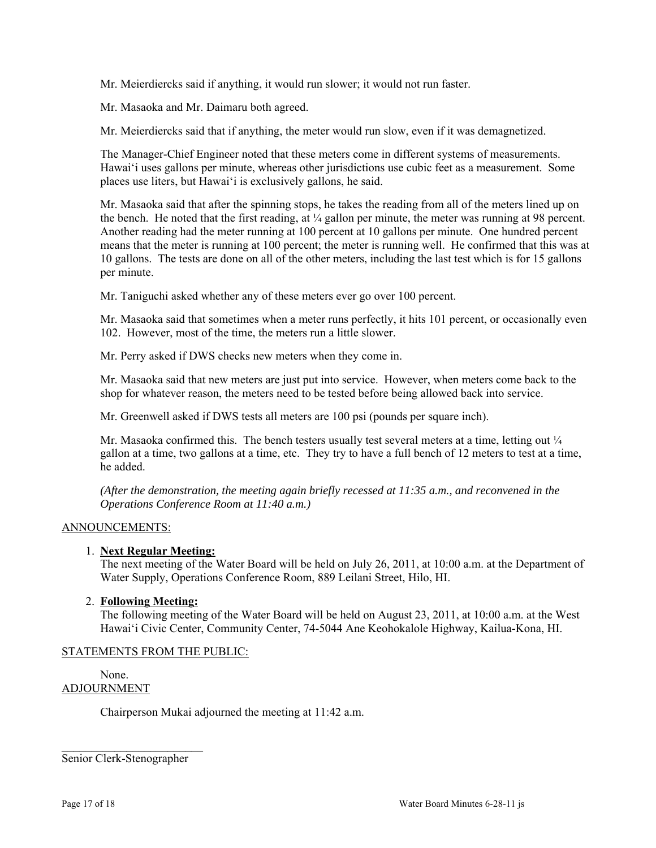Mr. Meierdiercks said if anything, it would run slower; it would not run faster.

Mr. Masaoka and Mr. Daimaru both agreed.

Mr. Meierdiercks said that if anything, the meter would run slow, even if it was demagnetized.

The Manager-Chief Engineer noted that these meters come in different systems of measurements. Hawai'i uses gallons per minute, whereas other jurisdictions use cubic feet as a measurement. Some places use liters, but Hawai'i is exclusively gallons, he said.

Mr. Masaoka said that after the spinning stops, he takes the reading from all of the meters lined up on the bench. He noted that the first reading, at  $\frac{1}{4}$  gallon per minute, the meter was running at 98 percent. Another reading had the meter running at 100 percent at 10 gallons per minute. One hundred percent means that the meter is running at 100 percent; the meter is running well. He confirmed that this was at 10 gallons. The tests are done on all of the other meters, including the last test which is for 15 gallons per minute.

Mr. Taniguchi asked whether any of these meters ever go over 100 percent.

Mr. Masaoka said that sometimes when a meter runs perfectly, it hits 101 percent, or occasionally even 102. However, most of the time, the meters run a little slower.

Mr. Perry asked if DWS checks new meters when they come in.

Mr. Masaoka said that new meters are just put into service. However, when meters come back to the shop for whatever reason, the meters need to be tested before being allowed back into service.

Mr. Greenwell asked if DWS tests all meters are 100 psi (pounds per square inch).

Mr. Masaoka confirmed this. The bench testers usually test several meters at a time, letting out  $\frac{1}{4}$ gallon at a time, two gallons at a time, etc. They try to have a full bench of 12 meters to test at a time, he added.

*(After the demonstration, the meeting again briefly recessed at 11:35 a.m., and reconvened in the Operations Conference Room at 11:40 a.m.)*

#### ANNOUNCEMENTS:

#### 1. **Next Regular Meeting:**

The next meeting of the Water Board will be held on July 26, 2011, at 10:00 a.m. at the Department of Water Supply, Operations Conference Room, 889 Leilani Street, Hilo, HI.

#### 2. **Following Meeting:**

The following meeting of the Water Board will be held on August 23, 2011, at 10:00 a.m. at the West Hawai'i Civic Center, Community Center, 74-5044 Ane Keohokalole Highway, Kailua-Kona, HI.

#### STATEMENTS FROM THE PUBLIC:

None. ADJOURNMENT

Chairperson Mukai adjourned the meeting at 11:42 a.m.

Senior Clerk-Stenographer

 $\mathcal{L}_\text{max}$